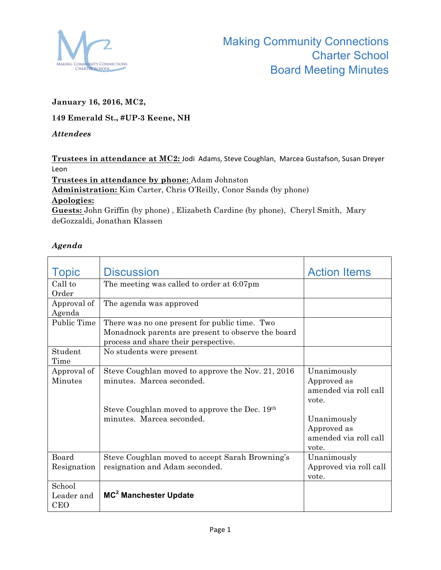

## **January 16, 2016, MC2,**

## **149 Emerald St., #UP-3 Keene, NH**

## *Attendees*

Trustees in attendance at MC2: Jodi Adams, Steve Coughlan, Marcea Gustafson, Susan Dreyer Leon

**Trustees in attendance by phone:** Adam Johnston **Administration:** Kim Carter, Chris O'Reilly, Conor Sands (by phone) **Apologies: Guests:** John Griffin (by phone) , Elizabeth Cardine (by phone), Cheryl Smith, Mary deGozzaldi, Jonathan Klassen

## *Agenda*

| <b>Topic</b>   | <b>Discussion</b>                                  | <b>Action Items</b>    |
|----------------|----------------------------------------------------|------------------------|
| Call to        | The meeting was called to order at 6:07pm          |                        |
| Order          |                                                    |                        |
| Approval of    | The agenda was approved                            |                        |
| Agenda         |                                                    |                        |
| Public Time    | There was no one present for public time. Two      |                        |
|                | Monadnock parents are present to observe the board |                        |
|                | process and share their perspective.               |                        |
| Student        | No students were present                           |                        |
| Time           |                                                    |                        |
| Approval of    | Steve Coughlan moved to approve the Nov. 21, 2016  | Unanimously            |
| <b>Minutes</b> | minutes. Marcea seconded.                          | Approved as            |
|                |                                                    | amended via roll call  |
|                |                                                    | vote.                  |
|                | Steve Coughlan moved to approve the Dec. 19th      |                        |
|                | minutes. Marcea seconded.                          | Unanimously            |
|                |                                                    | Approved as            |
|                |                                                    | amended via roll call  |
|                |                                                    | vote.                  |
| Board          | Steve Coughlan moved to accept Sarah Browning's    | Unanimously            |
| Resignation    | resignation and Adam seconded.                     | Approved via roll call |
|                |                                                    | vote.                  |
| School         |                                                    |                        |
| Leader and     | MC <sup>2</sup> Manchester Update                  |                        |
| <b>CEO</b>     |                                                    |                        |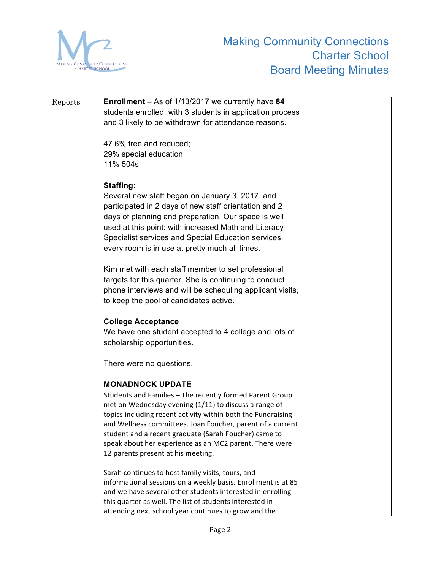

| Reports | Enrollment - As of 1/13/2017 we currently have 84             |  |
|---------|---------------------------------------------------------------|--|
|         | students enrolled, with 3 students in application process     |  |
|         | and 3 likely to be withdrawn for attendance reasons.          |  |
|         |                                                               |  |
|         | 47.6% free and reduced;                                       |  |
|         | 29% special education                                         |  |
|         | 11% 504s                                                      |  |
|         |                                                               |  |
|         | <b>Staffing:</b>                                              |  |
|         | Several new staff began on January 3, 2017, and               |  |
|         | participated in 2 days of new staff orientation and 2         |  |
|         | days of planning and preparation. Our space is well           |  |
|         | used at this point: with increased Math and Literacy          |  |
|         | Specialist services and Special Education services,           |  |
|         | every room is in use at pretty much all times.                |  |
|         |                                                               |  |
|         | Kim met with each staff member to set professional            |  |
|         | targets for this quarter. She is continuing to conduct        |  |
|         | phone interviews and will be scheduling applicant visits,     |  |
|         | to keep the pool of candidates active.                        |  |
|         |                                                               |  |
|         | <b>College Acceptance</b>                                     |  |
|         | We have one student accepted to 4 college and lots of         |  |
|         | scholarship opportunities.                                    |  |
|         | There were no questions.                                      |  |
|         |                                                               |  |
|         | <b>MONADNOCK UPDATE</b>                                       |  |
|         | Students and Families - The recently formed Parent Group      |  |
|         | met on Wednesday evening (1/11) to discuss a range of         |  |
|         | topics including recent activity within both the Fundraising  |  |
|         | and Wellness committees. Joan Foucher, parent of a current    |  |
|         | student and a recent graduate (Sarah Foucher) came to         |  |
|         | speak about her experience as an MC2 parent. There were       |  |
|         | 12 parents present at his meeting.                            |  |
|         | Sarah continues to host family visits, tours, and             |  |
|         | informational sessions on a weekly basis. Enrollment is at 85 |  |
|         | and we have several other students interested in enrolling    |  |
|         | this quarter as well. The list of students interested in      |  |
|         | attending next school year continues to grow and the          |  |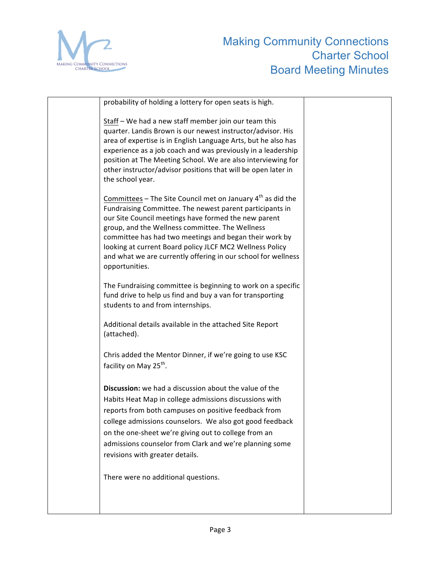

| probability of holding a lottery for open seats is high.                                                                                                                                                                                                                                                                                                                                                                                      |  |
|-----------------------------------------------------------------------------------------------------------------------------------------------------------------------------------------------------------------------------------------------------------------------------------------------------------------------------------------------------------------------------------------------------------------------------------------------|--|
| Staff - We had a new staff member join our team this<br>quarter. Landis Brown is our newest instructor/advisor. His<br>area of expertise is in English Language Arts, but he also has<br>experience as a job coach and was previously in a leadership<br>position at The Meeting School. We are also interviewing for<br>other instructor/advisor positions that will be open later in<br>the school year.                                    |  |
| Committees – The Site Council met on January $4th$ as did the<br>Fundraising Committee. The newest parent participants in<br>our Site Council meetings have formed the new parent<br>group, and the Wellness committee. The Wellness<br>committee has had two meetings and began their work by<br>looking at current Board policy JLCF MC2 Wellness Policy<br>and what we are currently offering in our school for wellness<br>opportunities. |  |
| The Fundraising committee is beginning to work on a specific<br>fund drive to help us find and buy a van for transporting<br>students to and from internships.                                                                                                                                                                                                                                                                                |  |
| Additional details available in the attached Site Report<br>(attached).                                                                                                                                                                                                                                                                                                                                                                       |  |
| Chris added the Mentor Dinner, if we're going to use KSC<br>facility on May 25 <sup>th</sup> .                                                                                                                                                                                                                                                                                                                                                |  |
| Discussion: we had a discussion about the value of the<br>Habits Heat Map in college admissions discussions with<br>reports from both campuses on positive feedback from<br>college admissions counselors. We also got good feedback<br>on the one-sheet we're giving out to college from an<br>admissions counselor from Clark and we're planning some<br>revisions with greater details.                                                    |  |
| There were no additional questions.                                                                                                                                                                                                                                                                                                                                                                                                           |  |
|                                                                                                                                                                                                                                                                                                                                                                                                                                               |  |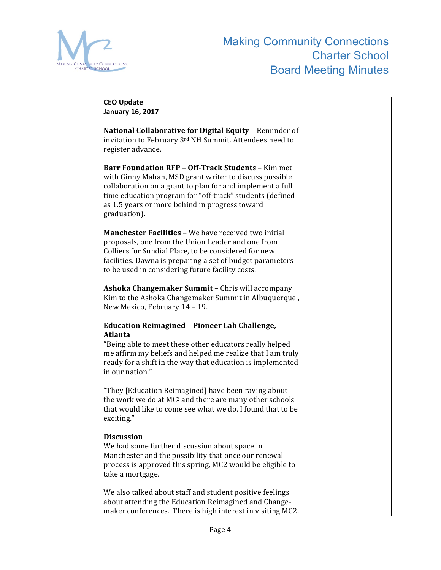

| <b>CEO Update</b>                                                                                                                                                                                                                                                                                              |  |
|----------------------------------------------------------------------------------------------------------------------------------------------------------------------------------------------------------------------------------------------------------------------------------------------------------------|--|
| <b>January 16, 2017</b>                                                                                                                                                                                                                                                                                        |  |
| National Collaborative for Digital Equity - Reminder of<br>invitation to February 3rd NH Summit. Attendees need to<br>register advance.                                                                                                                                                                        |  |
| <b>Barr Foundation RFP - Off-Track Students - Kim met</b><br>with Ginny Mahan, MSD grant writer to discuss possible<br>collaboration on a grant to plan for and implement a full<br>time education program for "off-track" students (defined<br>as 1.5 years or more behind in progress toward<br>graduation). |  |
| Manchester Facilities - We have received two initial<br>proposals, one from the Union Leader and one from<br>Colliers for Sundial Place, to be considered for new<br>facilities. Dawna is preparing a set of budget parameters<br>to be used in considering future facility costs.                             |  |
| Ashoka Changemaker Summit - Chris will accompany<br>Kim to the Ashoka Changemaker Summit in Albuquerque,<br>New Mexico, February 14 - 19.                                                                                                                                                                      |  |
| <b>Education Reimagined - Pioneer Lab Challenge,</b><br><b>Atlanta</b><br>"Being able to meet these other educators really helped<br>me affirm my beliefs and helped me realize that I am truly<br>ready for a shift in the way that education is implemented<br>in our nation."                               |  |
| "They [Education Reimagined] have been raving about<br>the work we do at MC <sup>2</sup> and there are many other schools<br>that would like to come see what we do. I found that to be<br>exciting.                                                                                                           |  |
| <b>Discussion</b><br>We had some further discussion about space in<br>Manchester and the possibility that once our renewal<br>process is approved this spring, MC2 would be eligible to<br>take a mortgage.                                                                                                    |  |
| We also talked about staff and student positive feelings<br>about attending the Education Reimagined and Change-<br>maker conferences. There is high interest in visiting MC2.                                                                                                                                 |  |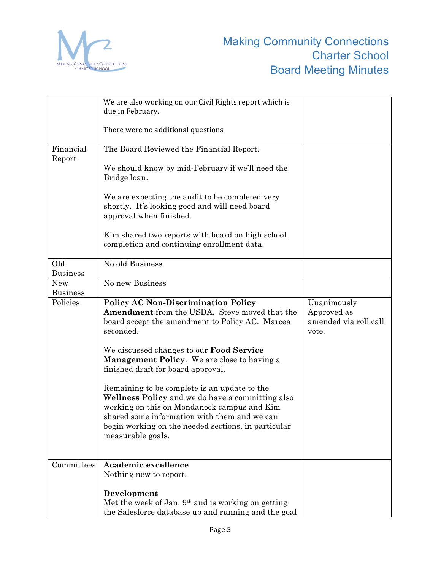

|                        | We are also working on our Civil Rights report which is                                                                                                                                                                                                                     |                                                              |
|------------------------|-----------------------------------------------------------------------------------------------------------------------------------------------------------------------------------------------------------------------------------------------------------------------------|--------------------------------------------------------------|
|                        | due in February.                                                                                                                                                                                                                                                            |                                                              |
|                        | There were no additional questions                                                                                                                                                                                                                                          |                                                              |
| Financial              | The Board Reviewed the Financial Report.                                                                                                                                                                                                                                    |                                                              |
| Report                 | We should know by mid-February if we'll need the<br>Bridge loan.                                                                                                                                                                                                            |                                                              |
|                        | We are expecting the audit to be completed very<br>shortly. It's looking good and will need board<br>approval when finished.                                                                                                                                                |                                                              |
|                        | Kim shared two reports with board on high school<br>completion and continuing enrollment data.                                                                                                                                                                              |                                                              |
| Old<br><b>Business</b> | No old Business                                                                                                                                                                                                                                                             |                                                              |
| <b>New</b>             | No new Business                                                                                                                                                                                                                                                             |                                                              |
| <b>Business</b>        |                                                                                                                                                                                                                                                                             |                                                              |
| Policies               | <b>Policy AC Non-Discrimination Policy</b><br>Amendment from the USDA. Steve moved that the<br>board accept the amendment to Policy AC. Marcea<br>seconded.                                                                                                                 | Unanimously<br>Approved as<br>amended via roll call<br>vote. |
|                        | We discussed changes to our Food Service<br><b>Management Policy.</b> We are close to having a<br>finished draft for board approval.                                                                                                                                        |                                                              |
|                        | Remaining to be complete is an update to the<br>Wellness Policy and we do have a committing also<br>working on this on Mondanock campus and Kim<br>shared some information with them and we can<br>begin working on the needed sections, in particular<br>measurable goals. |                                                              |
| Committees             | Academic excellence                                                                                                                                                                                                                                                         |                                                              |
|                        | Nothing new to report.                                                                                                                                                                                                                                                      |                                                              |
|                        | Development                                                                                                                                                                                                                                                                 |                                                              |
|                        | Met the week of Jan. 9 <sup>th</sup> and is working on getting                                                                                                                                                                                                              |                                                              |
|                        | the Salesforce database up and running and the goal                                                                                                                                                                                                                         |                                                              |